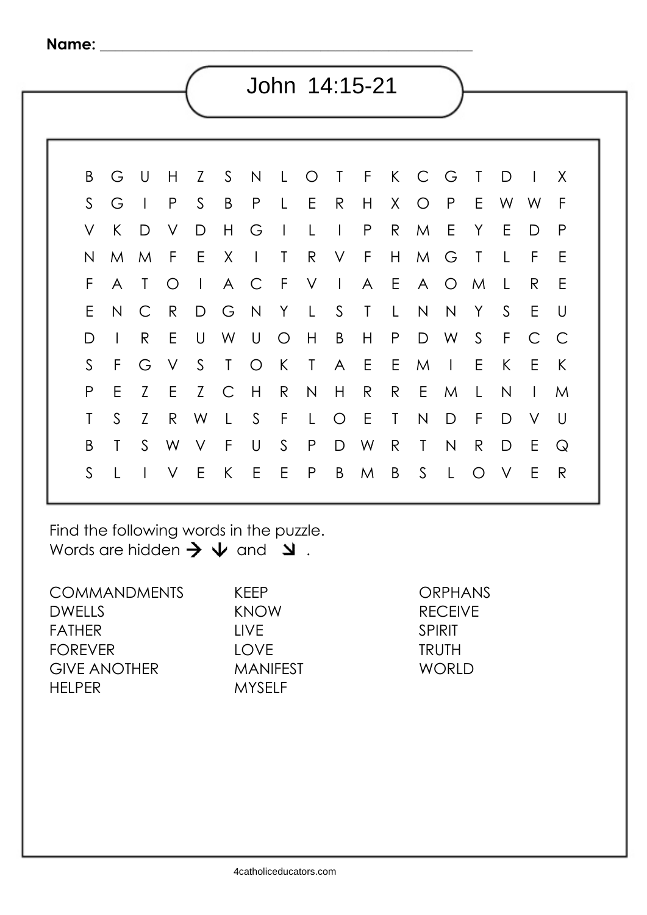| John 14:15-21 |              |                |              |              |              |              |              |    |              |                |              |              |                |              |              |              |              |              |
|---------------|--------------|----------------|--------------|--------------|--------------|--------------|--------------|----|--------------|----------------|--------------|--------------|----------------|--------------|--------------|--------------|--------------|--------------|
|               |              |                |              |              |              |              |              |    |              |                |              |              |                |              |              |              |              |              |
|               |              |                |              |              |              |              |              |    |              |                |              |              |                |              |              |              |              |              |
|               | B            | G              | U            | Н            | Z            | $\mathsf{S}$ | $\mathsf{N}$ | L  | $\bigcirc$   | Τ              | F            | $\mathsf{K}$ | $\overline{C}$ | G            | $\mathsf{T}$ | D            |              | X            |
|               | S            | G              |              | $\mathsf{P}$ | $\mathsf{S}$ | B            | $\mathsf{P}$ | L  | E            | $\mathsf{R}$   | H            | X            | $\bigcirc$     | $\mathsf{P}$ | E            | W            | W            | $\mathsf{F}$ |
| $\vee$        |              | K              | D            | ٧            | D            | $\mathsf{H}$ | G            |    | L            | $\overline{1}$ | $\mathsf{P}$ | $\mathsf{R}$ | M              | E            | Y            | E            | D            | P            |
|               | N            | M              | M            | F            | E            | X            | $\mathsf{l}$ | Т  | R            | V              | F            | H.           | M              | G            | $\mathsf{T}$ | L            | F            | Ε            |
|               | F            | $\overline{A}$ | Τ            | $\bigcirc$   | $\mathsf{I}$ | A            | $\mathsf{C}$ | -F | V            | $\overline{1}$ | A            | E            | $\mathsf{A}$   | $\bigcirc$   | M            | L            | R.           | E            |
|               | E            | $\mathsf{N}$   | $\mathsf{C}$ | $\mathsf{R}$ | D            | G            | N            | Y  | L            | S              | $\mathsf{T}$ | L            | $\mathsf{N}$   | N            | Y            | S            | E            | $\cup$       |
|               | D            | $\overline{1}$ | R            | E            | U            | W            | U            | O  | Н            | B              | $\mathsf{H}$ | $\mathsf{P}$ | D              | W            | $\mathsf{S}$ | $\mathsf F$  | $\mathsf{C}$ | C            |
|               | $\mathsf{S}$ | F              | G            | $\vee$       | S            | T            | $\bigcirc$   | K  | $\mathsf{T}$ | $\mathsf{A}$   | E            | E            | M              | $\mathbf{I}$ | E            | K            | E            | K            |
|               | P            | E              | Z            | E            | Z            | $\mathsf{C}$ | H            | R  | $\mathsf{N}$ | H              | R            | R            | Ε              | M            | L            | $\mathsf{N}$ | $\mathsf{I}$ | M            |
|               | T            | $\mathsf{S}$   | Z            | R            | W            | L            | $\mathsf S$  | F  | L            | $\bigcirc$     | Ε            | T            | $\mathsf{N}$   | D            | F            | D            | V            | U            |
|               | B            | T              | $\mathsf{S}$ | W            | V            | F            | $\cup$       | S  | $\mathsf{P}$ | D              | W            | $\mathsf{R}$ | $\mathsf{T}$   | $\mathsf{N}$ | $\mathsf{R}$ | D            | Ε            | $\mathsf{Q}$ |
|               | $\mathsf{S}$ |                |              | V            | E            | K            | E            | E  | $\mathsf{P}$ | B              | M            | B            | $\mathsf{S}$   | L            | $\bigcirc$   | V            | E            | $\mathsf{R}$ |
|               |              |                |              |              |              |              |              |    |              |                |              |              |                |              |              |              |              |              |

Find the following words in the puzzle. Words are hidden  $\rightarrow \downarrow$  and  $\downarrow$ .

COMMANDMENTS DWELLS FATHER FOREVER GIVE ANOTHER HELPER

KEEP KNOW LIVE LOVE MANIFEST MYSELF

ORPHANS RECEIVE SPIRIT TRUTH WORLD